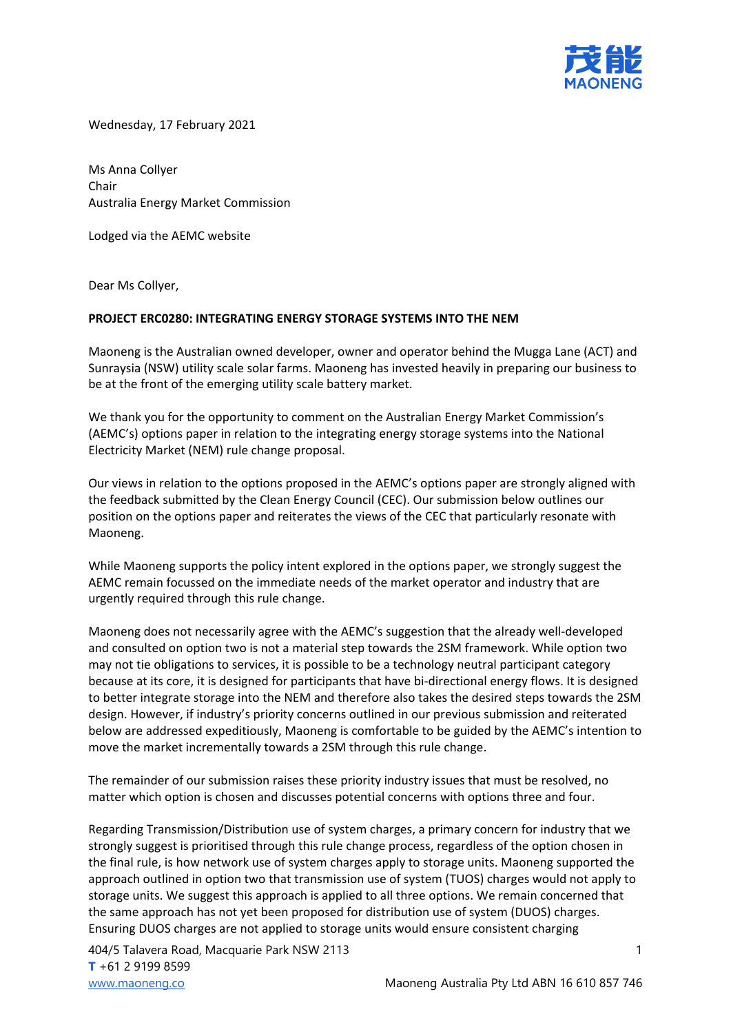

Wednesday, 17 February 2021

Ms Anna Collyer Chair Australia Energy Market Commission

Lodged via the AEMC website

Dear Ms Collyer,

## **PROJECT ERC0280: INTEGRATING ENERGY STORAGE SYSTEMS INTO THE NEM**

Maoneng is the Australian owned developer, owner and operator behind the Mugga Lane (ACT) and Sunraysia (NSW) utility scale solar farms. Maoneng has invested heavily in preparing our business to be at the front of the emerging utility scale battery market.

We thank you for the opportunity to comment on the Australian Energy Market Commission's (AEMC's) options paper in relation to the integrating energy storage systems into the National Electricity Market (NEM) rule change proposal.

Our views in relation to the options proposed in the AEMC's options paper are strongly aligned with the feedback submitted by the Clean Energy Council (CEC). Our submission below outlines our position on the options paper and reiterates the views of the CEC that particularly resonate with Maoneng.

While Maoneng supports the policy intent explored in the options paper, we strongly suggest the AEMC remain focussed on the immediate needs of the market operator and industry that are urgently required through this rule change.

Maoneng does not necessarily agree with the AEMC's suggestion that the already well-developed and consulted on option two is not a material step towards the 2SM framework. While option two may not tie obligations to services, it is possible to be a technology neutral participant category because at its core, it is designed for participants that have bi-directional energy flows. It is designed to better integrate storage into the NEM and therefore also takes the desired steps towards the 2SM design. However, if industry's priority concerns outlined in our previous submission and reiterated below are addressed expeditiously, Maoneng is comfortable to be guided by the AEMC's intention to move the market incrementally towards a 2SM through this rule change.

The remainder of our submission raises these priority industry issues that must be resolved, no matter which option is chosen and discusses potential concerns with options three and four.

Regarding Transmission/Distribution use of system charges, a primary concern for industry that we strongly suggest is prioritised through this rule change process, regardless of the option chosen in the final rule, is how network use of system charges apply to storage units. Maoneng supported the approach outlined in option two that transmission use of system (TUOS) charges would not apply to storage units. We suggest this approach is applied to all three options. We remain concerned that the same approach has not yet been proposed for distribution use of system (DUOS) charges. Ensuring DUOS charges are not applied to storage units would ensure consistent charging

404/5 Talavera Road, Macquarie Park NSW 2113 1 **T** +61 2 9199 8599 [www.maoneng.co](http://www.maoneng.co/) **Maoneng Australia Pty Ltd ABN 16 610 857 746**